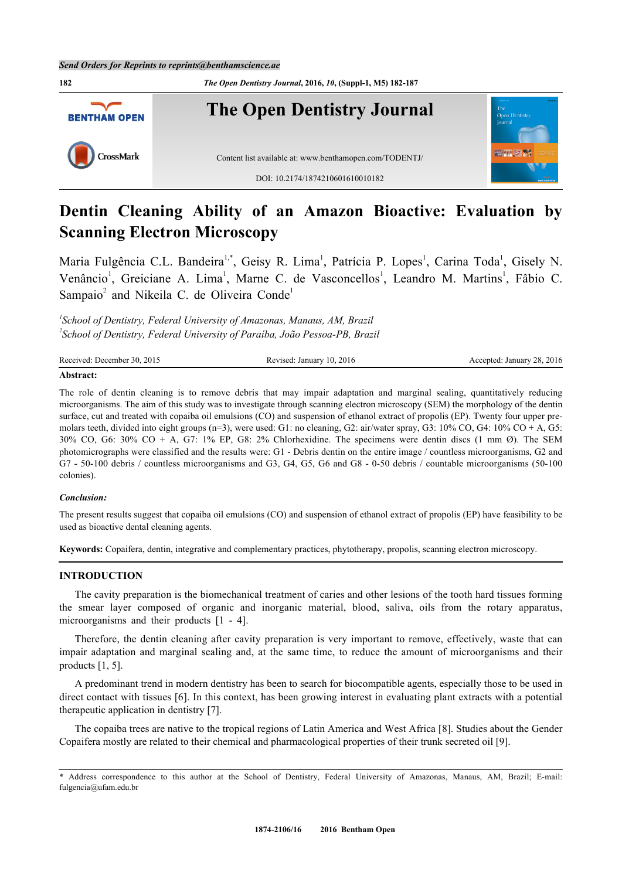

# **Dentin Cleaning Ability of an Amazon Bioactive: Evaluation by Scanning Electron Microscopy**

Maria Fulgência C.L. Bandeira<sup>[1](#page-0-0),[\\*](#page-0-1)</sup>, Geisy R. Lima<sup>1</sup>, Patrícia P. Lopes<sup>1</sup>, Carina Toda<sup>1</sup>, Gisely N. Venâncio<sup>[1](#page-0-0)</sup>, Greiciane A. Lima<sup>1</sup>, Marne C. de Vasconcellos<sup>1</sup>, Leandro M. Martins<sup>1</sup>, Fâbio C. Sampaio<sup>[2](#page-0-2)</sup> and Nikeila C. de Oliveira Conde<sup>[1](#page-0-0)</sup>

<span id="page-0-2"></span><span id="page-0-0"></span>*1 School of Dentistry, Federal University of Amazonas, Manaus, AM, Brazil 2 School of Dentistry, Federal University of Paraíba, João Pessoa-PB, Brazil*

| Received:<br>2015<br>December 30.<br>___ | 2016<br>10.<br>January<br>Revised:<br>. | 2016<br>$\gamma$<br>January :<br>Accepted<br>20.<br>.<br>. |
|------------------------------------------|-----------------------------------------|------------------------------------------------------------|
|------------------------------------------|-----------------------------------------|------------------------------------------------------------|

# **Abstract:**

The role of dentin cleaning is to remove debris that may impair adaptation and marginal sealing, quantitatively reducing microorganisms. The aim of this study was to investigate through scanning electron microscopy (SEM) the morphology of the dentin surface, cut and treated with copaiba oil emulsions (CO) and suspension of ethanol extract of propolis (EP). Twenty four upper premolars teeth, divided into eight groups (n=3), were used: G1: no cleaning, G2: air/water spray, G3: 10% CO, G4: 10% CO + A, G5: 30% CO, G6: 30% CO + A, G7: 1% EP, G8: 2% Chlorhexidine. The specimens were dentin discs (1 mm Ø). The SEM photomicrographs were classified and the results were: G1 - Debris dentin on the entire image / countless microorganisms, G2 and G7 - 50-100 debris / countless microorganisms and G3, G4, G5, G6 and G8 - 0-50 debris / countable microorganisms (50-100 colonies).

#### *Conclusion:*

The present results suggest that copaiba oil emulsions (CO) and suspension of ethanol extract of propolis (EP) have feasibility to be used as bioactive dental cleaning agents.

**Keywords:** Copaifera, dentin, integrative and complementary practices, phytotherapy, propolis, scanning electron microscopy.

# **INTRODUCTION**

The cavity preparation is the biomechanical treatment of caries and other lesions of the tooth hard tissues forming the smear layer composed of organic and inorganic material, blood, saliva, oils from the rotary apparatus, microorganismsand their products  $[1 - 4]$  $[1 - 4]$  $[1 - 4]$  $[1 - 4]$  $[1 - 4]$ .

Therefore, the dentin cleaning after cavity preparation is very important to remove, effectively, waste that can impair adaptation and marginal sealing and, at the same time, to reduce the amount of microorganisms and their products [[1](#page-4-0)[, 5\]](#page-4-2).

A predominant trend in modern dentistry has been to search for biocompatible agents, especially those to be used in direct contact with tissues [[6\]](#page-4-3). In this context, has been growing interest in evaluating plant extracts with a potential therapeutic application in dentistry [[7\]](#page-4-4).

The copaiba trees are native to the tropical regions of Latin America and West Africa [\[8](#page-4-5)]. Studies about the Gender Copaifera mostly are related to their chemical and pharmacological properties of their trunk secreted oil [[9\]](#page-4-6).

<span id="page-0-1"></span><sup>\*</sup> Address correspondence to this author at the School of Dentistry, Federal University of Amazonas, Manaus, AM, Brazil; E-mail: [fulgencia@ufam.edu.br](mailto:fulgencia@ufam.edu.br)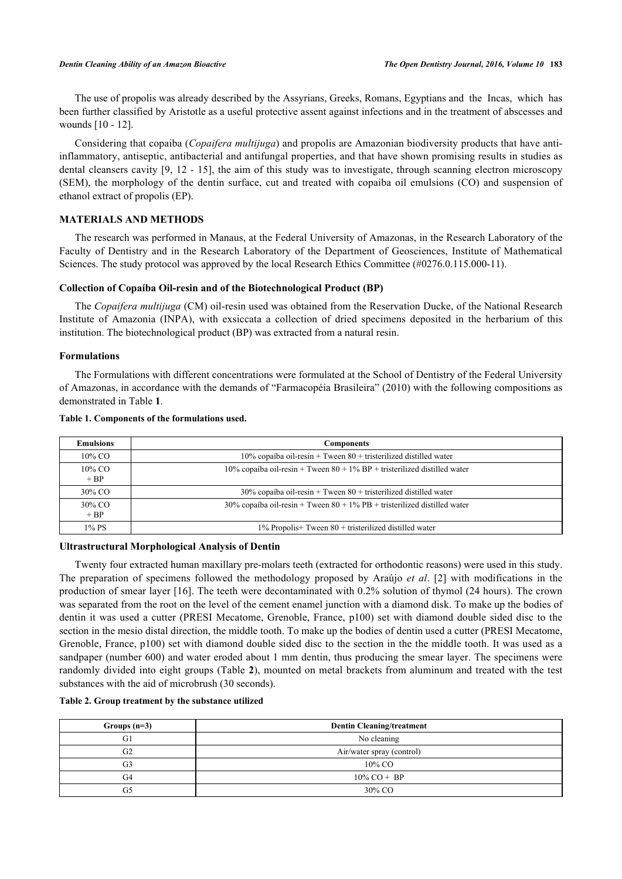The use of propolis was already described by the Assyrians, Greeks, Romans, Egyptians and the Incas, which has been further classified by Aristotle as a useful protective assent against infections and in the treatment of abscesses and wounds [[10](#page-4-7) - [12\]](#page-4-8).

Considering that copaiba (*Copaifera multijuga*) and propolis are Amazonian biodiversity products that have antiinflammatory, antiseptic, antibacterial and antifungal properties, and that have shown promising results in studies as dental cleansers cavity [[9,](#page-4-6) [12](#page-4-8) - [15](#page-5-0)], the aim of this study was to investigate, through scanning electron microscopy (SEM), the morphology of the dentin surface, cut and treated with copaiba oil emulsions (CO) and suspension of ethanol extract of propolis (EP).

### **MATERIALS AND METHODS**

The research was performed in Manaus, at the Federal University of Amazonas, in the Research Laboratory of the Faculty of Dentistry and in the Research Laboratory of the Department of Geosciences, Institute of Mathematical Sciences. The study protocol was approved by the local Research Ethics Committee (#0276.0.115.000-11).

#### **Collection of Copaíba Oil-resin and of the Biotechnological Product (BP)**

The *Copaifera multijuga* (CM) oil-resin used was obtained from the Reservation Ducke, of the National Research Institute of Amazonia (INPA), with exsiccata a collection of dried specimens deposited in the herbarium of this institution. The biotechnological product (BP) was extracted from a natural resin.

#### **Formulations**

The Formulations with different concentrations were formulated at the School of Dentistry of the Federal University of Amazonas, in accordance with the demands of "Farmacopéia Brasileira" (2010) with the following compositions as demonstrated in Table **[1](#page-1-0)**.

| <b>Emulsions</b>    | <b>Components</b>                                                              |
|---------------------|--------------------------------------------------------------------------------|
| 10% CO              | $10\%$ copaíba oil-resin + Tween 80 + tristerilized distilled water            |
| $10\%$ CO<br>$+ BP$ | 10% copaíba oil-resin + Tween $80 + 1\%$ BP + tristerilized distilled water    |
| 30% CO              | $30\%$ copaíba oil-resin + Tween 80 + tristerilized distilled water            |
| 30% CO<br>$+ BP$    | $30\%$ copaíba oil-resin + Tween $80 + 1\%$ PB + tristerilized distilled water |
| 1% PS               | $1\%$ Propolis+ Tween 80 + tristerilized distilled water                       |

#### <span id="page-1-0"></span>**Table 1. Components of the formulations used.**

### **Ultrastructural Morphological Analysis of Dentin**

Twenty four extracted human maxillary pre-molars teeth (extracted for orthodontic reasons) were used in this study. The preparation of specimens followed the methodology proposed by Araújo *et al*.[[2](#page-4-9)] with modifications in the production of smear layer [[16\]](#page-5-1). The teeth were decontaminated with 0.2% solution of thymol (24 hours). The crown was separated from the root on the level of the cement enamel junction with a diamond disk. To make up the bodies of dentin it was used a cutter (PRESI Mecatome, Grenoble, France, p100) set with diamond double sided disc to the section in the mesio distal direction, the middle tooth. To make up the bodies of dentin used a cutter (PRESI Mecatome, Grenoble, France, p100) set with diamond double sided disc to the section in the the middle tooth. It was used as a sandpaper (number 600) and water eroded about 1 mm dentin, thus producing the smear layer. The specimens were randomly divided into eight groups (Table **[2](#page-1-1)**), mounted on metal brackets from aluminum and treated with the test substances with the aid of microbrush (30 seconds).

#### <span id="page-1-1"></span>**Table 2. Group treatment by the substance utilized**

| Groups $(n=3)$ | <b>Dentin Cleaning/treatment</b> |  |
|----------------|----------------------------------|--|
| G1             | No cleaning                      |  |
| G <sub>2</sub> | Air/water spray (control)        |  |
| G3             | $10\%$ CO                        |  |
| G4             | $10\%$ CO + BP                   |  |
| G5             | 30% CO                           |  |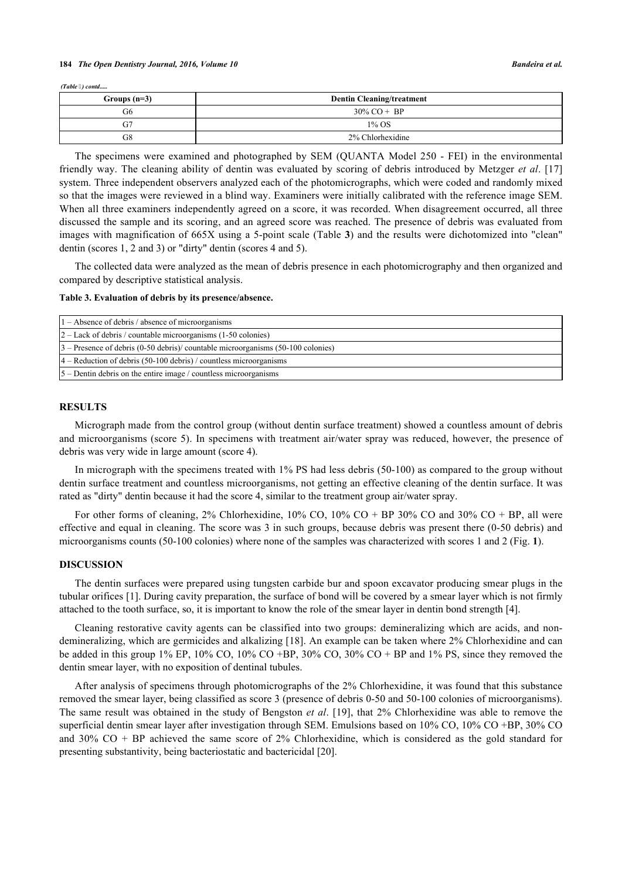#### **184** *The Open Dentistry Journal, 2016, Volume 10 Bandeira et al.*

*(Table ) contd.....*

| Groups $(n=3)$ | <b>Dentin Cleaning/treatment</b> |  |
|----------------|----------------------------------|--|
| G6             | $30\%$ CO + BP                   |  |
| G7             | $1\%$ OS                         |  |
| G8             | 2% Chlorhexidine                 |  |

The specimens were examined and photographed by SEM (QUANTA Model 250 - FEI) in the environmental friendly way. The cleaning ability of dentin was evaluated by scoring of debris introduced by Metzger *et al*. [[17](#page-5-2)] system. Three independent observers analyzed each of the photomicrographs, which were coded and randomly mixed so that the images were reviewed in a blind way. Examiners were initially calibrated with the reference image SEM. When all three examiners independently agreed on a score, it was recorded. When disagreement occurred, all three discussed the sample and its scoring, and an agreed score was reached. The presence of debris was evaluated from images with magnification of 665X using a 5-point scale (Table **[3](#page-2-0)**) and the results were dichotomized into "clean" dentin (scores 1, 2 and 3) or "dirty" dentin (scores 4 and 5).

The collected data were analyzed as the mean of debris presence in each photomicrography and then organized and compared by descriptive statistical analysis.

<span id="page-2-0"></span>**Table 3. Evaluation of debris by its presence/absence.**

| $1 -$ Absence of debris / absence of microorganisms                                |  |  |
|------------------------------------------------------------------------------------|--|--|
| $2 -$ Lack of debris / countable microorganisms (1-50 colonies)                    |  |  |
| $3$ – Presence of debris (0-50 debris)/ countable microorganisms (50-100 colonies) |  |  |
| $ 4 -$ Reduction of debris (50-100 debris) / countless microorganisms              |  |  |
| $5$ – Dentin debris on the entire image / countless microorganisms                 |  |  |

#### **RESULTS**

Micrograph made from the control group (without dentin surface treatment) showed a countless amount of debris and microorganisms (score 5). In specimens with treatment air/water spray was reduced, however, the presence of debris was very wide in large amount (score 4).

In micrograph with the specimens treated with 1% PS had less debris (50-100) as compared to the group without dentin surface treatment and countless microorganisms, not getting an effective cleaning of the dentin surface. It was rated as "dirty" dentin because it had the score 4, similar to the treatment group air/water spray.

For other forms of cleaning, 2% Chlorhexidine, 10% CO, 10% CO + BP 30% CO and 30% CO + BP, all were effective and equal in cleaning. The score was 3 in such groups, because debris was present there (0-50 debris) and microorganisms counts (50-100 colonies) where none of the samples was characterized with scores 1 and 2 (Fig. **[1](#page-2-1)**).

#### **DISCUSSION**

The dentin surfaces were prepared using tungsten carbide bur and spoon excavator producing smear plugs in the tubular orifices [\[1](#page-4-0)]. During cavity preparation, the surface of bond will be covered by a smear layer which is not firmly attached to the tooth surface, so, it is important to know the role of the smear layer in dentin bond strength [\[4](#page-4-1)].

Cleaning restorative cavity agents can be classified into two groups: demineralizing which are acids, and nondemineralizing, which are germicides and alkalizing [[18](#page-5-3)]. An example can be taken where 2% Chlorhexidine and can be added in this group 1% EP, 10% CO, 10% CO +BP, 30% CO, 30% CO + BP and 1% PS, since they removed the dentin smear layer, with no exposition of dentinal tubules.

<span id="page-2-1"></span>After analysis of specimens through photomicrographs of the 2% Chlorhexidine, it was found that this substance removed the smear layer, being classified as score 3 (presence of debris 0-50 and 50-100 colonies of microorganisms). The same result was obtained in the study of Bengston *et al*. [[19](#page-5-4)], that 2% Chlorhexidine was able to remove the superficial dentin smear layer after investigation through SEM. Emulsions based on 10% CO, 10% CO +BP, 30% CO and 30% CO + BP achieved the same score of 2% Chlorhexidine, which is considered as the gold standard for presenting substantivity, being bacteriostatic and bactericidal [[20\]](#page-5-5).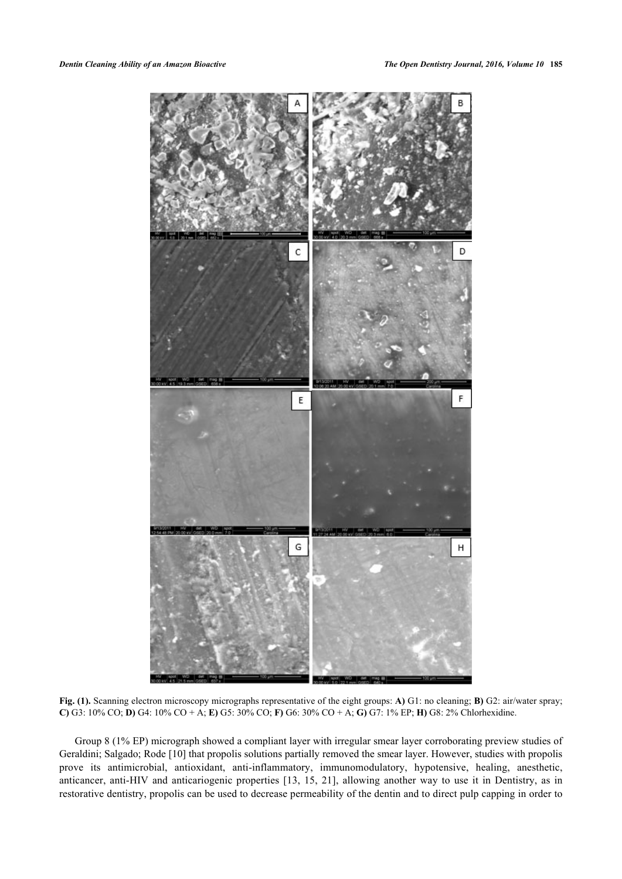

**Fig. (1).** Scanning electron microscopy micrographs representative of the eight groups: **A)** G1: no cleaning; **B)** G2: air/water spray; **C)** G3: 10% CO; **D)** G4: 10% CO + A; **E)** G5: 30% CO; **F)** G6: 30% CO + A; **G)** G7: 1% EP; **H)** G8: 2% Chlorhexidine.

Group 8 (1% EP) micrograph showed a compliant layer with irregular smear layer corroborating preview studies of Geraldini; Salgado; Rode [[10\]](#page-4-7) that propolis solutions partially removed the smear layer. However, studies with propolis prove its antimicrobial, antioxidant, anti-inflammatory, immunomodulatory, hypotensive, healing, anesthetic, anticancer, anti-HIV and anticariogenic properties [[13,](#page-4-10) [15,](#page-5-0) [21](#page-5-6)], allowing another way to use it in Dentistry, as in restorative dentistry, propolis can be used to decrease permeability of the dentin and to direct pulp capping in order to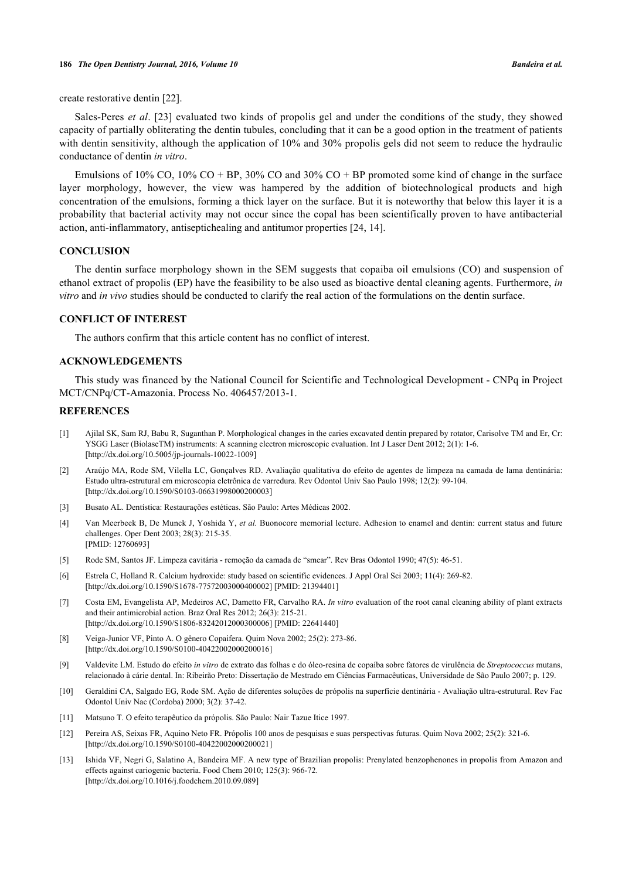create restorative dentin [[22\]](#page-5-7).

Sales-Peres *et al*. [\[23](#page-5-8)] evaluated two kinds of propolis gel and under the conditions of the study, they showed capacity of partially obliterating the dentin tubules, concluding that it can be a good option in the treatment of patients with dentin sensitivity, although the application of 10% and 30% propolis gels did not seem to reduce the hydraulic conductance of dentin *in vitro*.

Emulsions of 10% CO, 10% CO + BP, 30% CO and 30% CO + BP promoted some kind of change in the surface layer morphology, however, the view was hampered by the addition of biotechnological products and high concentration of the emulsions, forming a thick layer on the surface. But it is noteworthy that below this layer it is a probability that bacterial activity may not occur since the copal has been scientifically proven to have antibacterial action, anti-inflammatory, antiseptichealing and antitumor properties [\[24](#page-5-9), [14](#page-5-10)].

# **CONCLUSION**

The dentin surface morphology shown in the SEM suggests that copaiba oil emulsions (CO) and suspension of ethanol extract of propolis (EP) have the feasibility to be also used as bioactive dental cleaning agents. Furthermore, *in vitro* and *in vivo* studies should be conducted to clarify the real action of the formulations on the dentin surface.

# **CONFLICT OF INTEREST**

The authors confirm that this article content has no conflict of interest.

# **ACKNOWLEDGEMENTS**

This study was financed by the National Council for Scientific and Technological Development - CNPq in Project MCT/CNPq/CT-Amazonia. Process No. 406457/2013-1.

# **REFERENCES**

- <span id="page-4-0"></span>[1] Ajilal SK, Sam RJ, Babu R, Suganthan P. Morphological changes in the caries excavated dentin prepared by rotator, Carisolve TM and Er, Cr: YSGG Laser (BiolaseTM) instruments: A scanning electron microscopic evaluation. Int J Laser Dent 2012; 2(1): 1-6. [\[http://dx.doi.org/10.5005/jp-journals-10022-1009\]](http://dx.doi.org/10.5005/jp-journals-10022-1009)
- <span id="page-4-9"></span>[2] Araújo MA, Rode SM, Vilella LC, Gonçalves RD. Avaliação qualitativa do efeito de agentes de limpeza na camada de lama dentinária: Estudo ultra-estrutural em microscopia eletrônica de varredura. Rev Odontol Univ Sao Paulo 1998; 12(2): 99-104. [\[http://dx.doi.org/10.1590/S0103-06631998000200003\]](http://dx.doi.org/10.1590/S0103-06631998000200003)
- [3] Busato AL. Dentística: Restaurações estéticas. São Paulo: Artes Médicas 2002.
- <span id="page-4-1"></span>[4] Van Meerbeek B, De Munck J, Yoshida Y, *et al.* Buonocore memorial lecture. Adhesion to enamel and dentin: current status and future challenges. Oper Dent 2003; 28(3): 215-35. [PMID: [12760693\]](http://www.ncbi.nlm.nih.gov/pubmed/12760693)
- <span id="page-4-2"></span>[5] Rode SM, Santos JF. Limpeza cavitária - remoção da camada de "smear". Rev Bras Odontol 1990; 47(5): 46-51.
- <span id="page-4-3"></span>[6] Estrela C, Holland R. Calcium hydroxide: study based on scientific evidences. J Appl Oral Sci 2003; 11(4): 269-82. [\[http://dx.doi.org/10.1590/S1678-77572003000400002\]](http://dx.doi.org/10.1590/S1678-77572003000400002) [PMID: [21394401](http://www.ncbi.nlm.nih.gov/pubmed/21394401)]
- <span id="page-4-4"></span>[7] Costa EM, Evangelista AP, Medeiros AC, Dametto FR, Carvalho RA. *In vitro* evaluation of the root canal cleaning ability of plant extracts and their antimicrobial action. Braz Oral Res 2012; 26(3): 215-21. [\[http://dx.doi.org/10.1590/S1806-83242012000300006\]](http://dx.doi.org/10.1590/S1806-83242012000300006) [PMID: [22641440](http://www.ncbi.nlm.nih.gov/pubmed/22641440)]
- <span id="page-4-5"></span>[8] Veiga-Junior VF, Pinto A. O gênero Copaifera. Quim Nova 2002; 25(2): 273-86. [\[http://dx.doi.org/10.1590/S0100-40422002000200016\]](http://dx.doi.org/10.1590/S0100-40422002000200016)
- <span id="page-4-6"></span>[9] Valdevite LM. Estudo do efeito *in vitro* de extrato das folhas e do óleo-resina de copaíba sobre fatores de virulência de *Streptococcus* mutans, relacionado à cárie dental. In: Ribeirão Preto: Dissertação de Mestrado em Ciências Farmacêuticas, Universidade de São Paulo 2007; p. 129.
- <span id="page-4-7"></span>[10] Geraldini CA, Salgado EG, Rode SM. Ação de diferentes soluções de própolis na superfície dentinária - Avaliação ultra-estrutural. Rev Fac Odontol Univ Nac (Cordoba) 2000; 3(2): 37-42.
- [11] Matsuno T. O efeito terapêutico da própolis. São Paulo: Nair Tazue Itice 1997.
- <span id="page-4-8"></span>[12] Pereira AS, Seixas FR, Aquino Neto FR. Própolis 100 anos de pesquisas e suas perspectivas futuras. Quim Nova 2002; 25(2): 321-6. [\[http://dx.doi.org/10.1590/S0100-40422002000200021\]](http://dx.doi.org/10.1590/S0100-40422002000200021)
- <span id="page-4-10"></span>[13] Ishida VF, Negri G, Salatino A, Bandeira MF. A new type of Brazilian propolis: Prenylated benzophenones in propolis from Amazon and effects against cariogenic bacteria. Food Chem 2010; 125(3): 966-72. [\[http://dx.doi.org/10.1016/j.foodchem.2010.09.089](http://dx.doi.org/10.1016/j.foodchem.2010.09.089)]